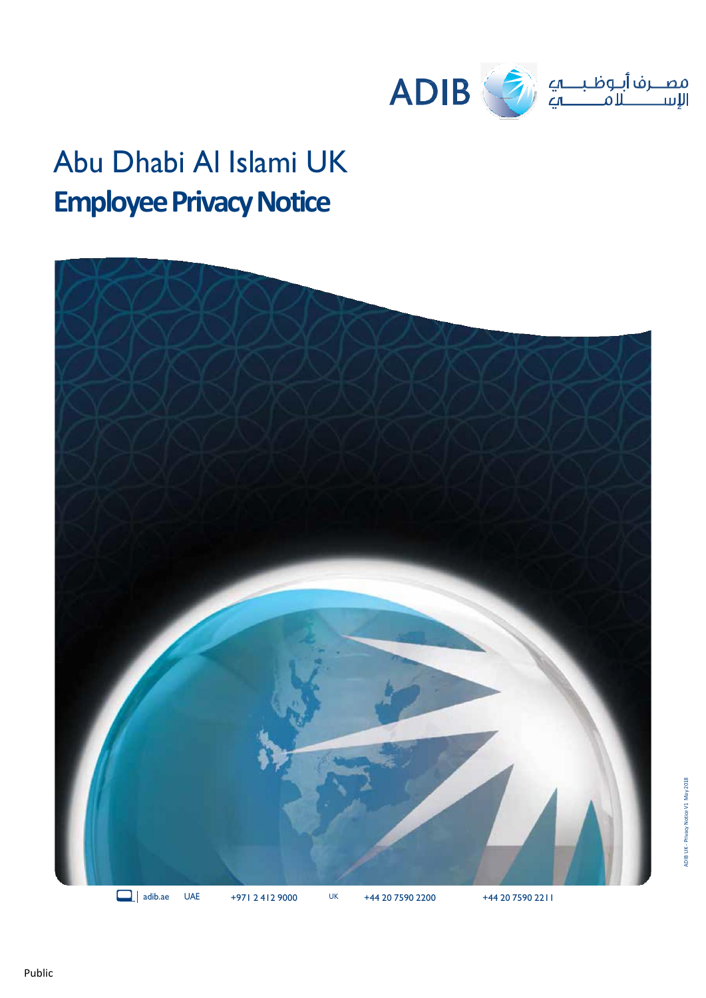

# Abu Dhabi Al Islami UK **Employee Privacy Notice**

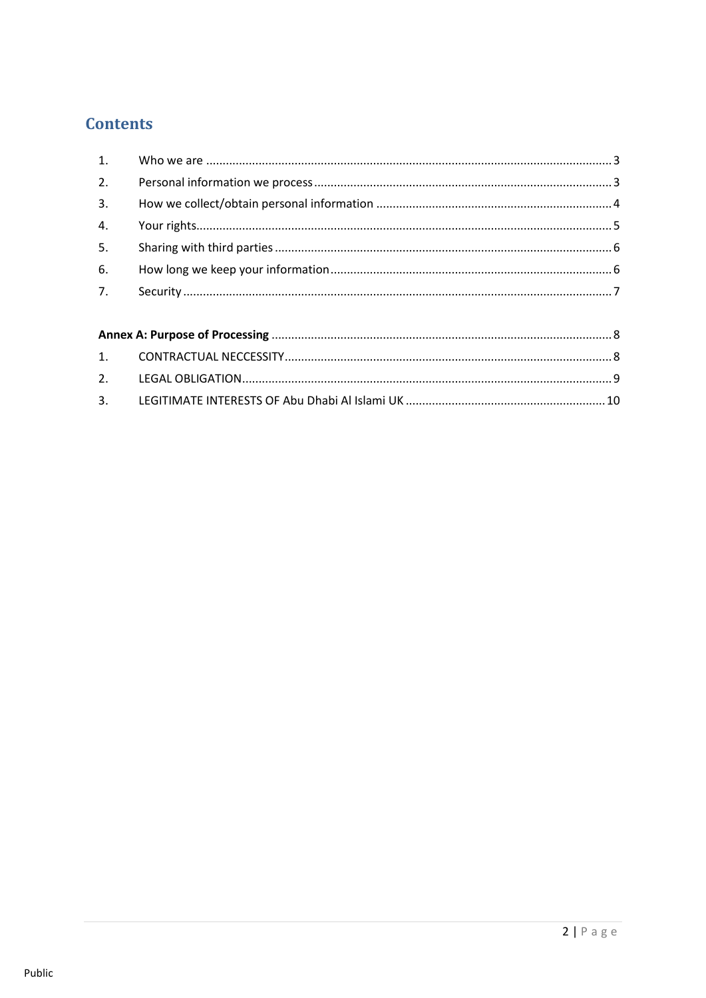# **Contents**

| 2. |  |
|----|--|
|    |  |
| 4. |  |
| 5. |  |
| 6. |  |
| 7. |  |
|    |  |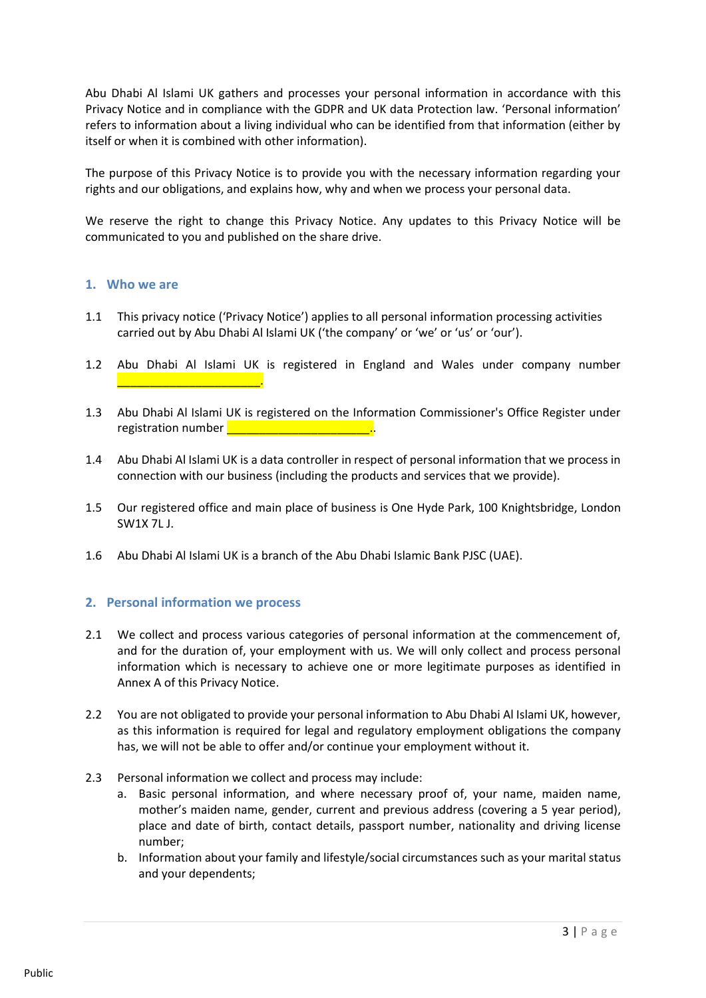Abu Dhabi Al Islami UK gathers and processes your personal information in accordance with this Privacy Notice and in compliance with the GDPR and UK data Protection law. 'Personal information' refers to information about a living individual who can be identified from that information (either by itself or when it is combined with other information).

The purpose of this Privacy Notice is to provide you with the necessary information regarding your rights and our obligations, and explains how, why and when we process your personal data.

We reserve the right to change this Privacy Notice. Any updates to this Privacy Notice will be communicated to you and published on the share drive.

#### <span id="page-2-0"></span>**1. Who we are**

- 1.1 This privacy notice ('Privacy Notice') applies to all personal information processing activities carried out by Abu Dhabi Al Islami UK ('the company' or 'we' or 'us' or 'our').
- 1.2 Abu Dhabi Al Islami UK is registered in England and Wales under company number \_\_\_\_\_\_\_\_\_\_\_\_\_\_\_\_\_\_\_\_\_\_.
- 1.3 Abu Dhabi Al Islami UK is registered on the Information Commissioner's Office Register under registration number **Latitude 2018**
- 1.4 Abu Dhabi Al Islami UK is a data controller in respect of personal information that we process in connection with our business (including the products and services that we provide).
- 1.5 Our registered office and main place of business is One Hyde Park, 100 Knightsbridge, London SW1X 7L J.
- 1.6 Abu Dhabi Al Islami UK is a branch of the Abu Dhabi Islamic Bank PJSC (UAE).

# <span id="page-2-1"></span>**2. Personal information we process**

- 2.1 We collect and process various categories of personal information at the commencement of, and for the duration of, your employment with us. We will only collect and process personal information which is necessary to achieve one or more legitimate purposes as identified in Annex A of this Privacy Notice.
- 2.2 You are not obligated to provide your personal information to Abu Dhabi Al Islami UK, however, as this information is required for legal and regulatory employment obligations the company has, we will not be able to offer and/or continue your employment without it.
- 2.3 Personal information we collect and process may include:
	- a. Basic personal information, and where necessary proof of, your name, maiden name, mother's maiden name, gender, current and previous address (covering a 5 year period), place and date of birth, contact details, passport number, nationality and driving license number;
	- b. Information about your family and lifestyle/social circumstances such as your marital status and your dependents;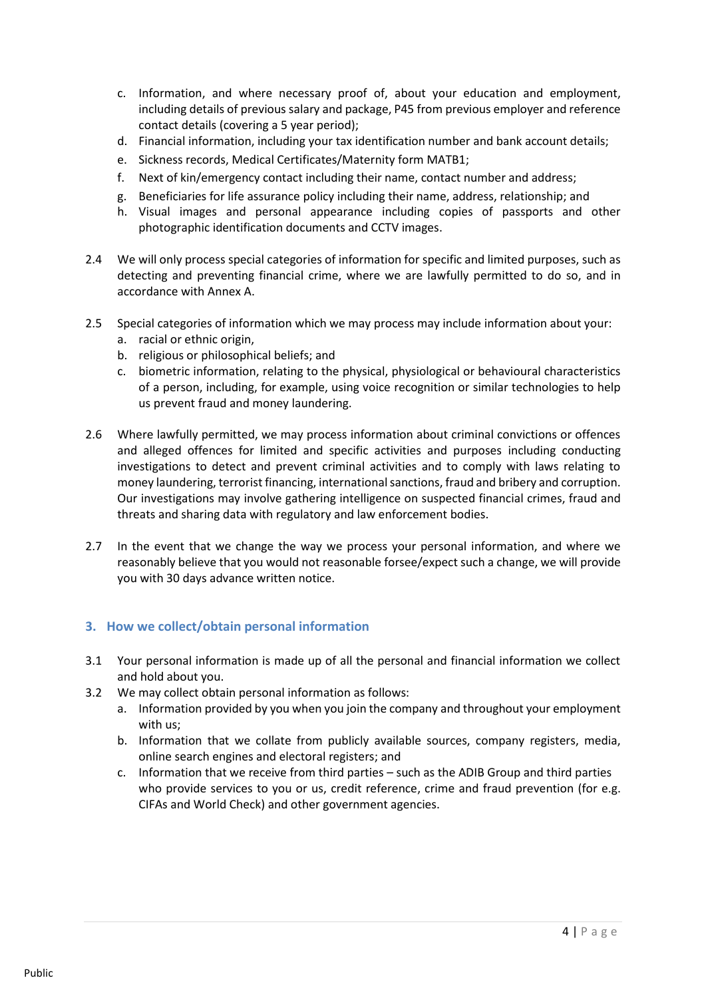- c. Information, and where necessary proof of, about your education and employment, including details of previous salary and package, P45 from previous employer and reference contact details (covering a 5 year period);
- d. Financial information, including your tax identification number and bank account details;
- e. Sickness records, Medical Certificates/Maternity form MATB1;
- f. Next of kin/emergency contact including their name, contact number and address;
- g. Beneficiaries for life assurance policy including their name, address, relationship; and
- h. Visual images and personal appearance including copies of passports and other photographic identification documents and CCTV images.
- 2.4 We will only process special categories of information for specific and limited purposes, such as detecting and preventing financial crime, where we are lawfully permitted to do so, and in accordance with Annex A.
- 2.5 Special categories of information which we may process may include information about your:
	- a. racial or ethnic origin,
	- b. religious or philosophical beliefs; and
	- c. biometric information, relating to the physical, physiological or behavioural characteristics of a person, including, for example, using voice recognition or similar technologies to help us prevent fraud and money laundering.
- 2.6 Where lawfully permitted, we may process information about criminal convictions or offences and alleged offences for limited and specific activities and purposes including conducting investigations to detect and prevent criminal activities and to comply with laws relating to money laundering, terrorist financing, international sanctions, fraud and bribery and corruption. Our investigations may involve gathering intelligence on suspected financial crimes, fraud and threats and sharing data with regulatory and law enforcement bodies.
- 2.7 In the event that we change the way we process your personal information, and where we reasonably believe that you would not reasonable forsee/expect such a change, we will provide you with 30 days advance written notice.

# <span id="page-3-0"></span>**3. How we collect/obtain personal information**

- 3.1 Your personal information is made up of all the personal and financial information we collect and hold about you.
- 3.2 We may collect obtain personal information as follows:
	- a. Information provided by you when you join the company and throughout your employment with us;
	- b. Information that we collate from publicly available sources, company registers, media, online search engines and electoral registers; and
	- c. Information that we receive from third parties such as the ADIB Group and third parties who provide services to you or us, credit reference, crime and fraud prevention (for e.g. CIFAs and World Check) and other government agencies.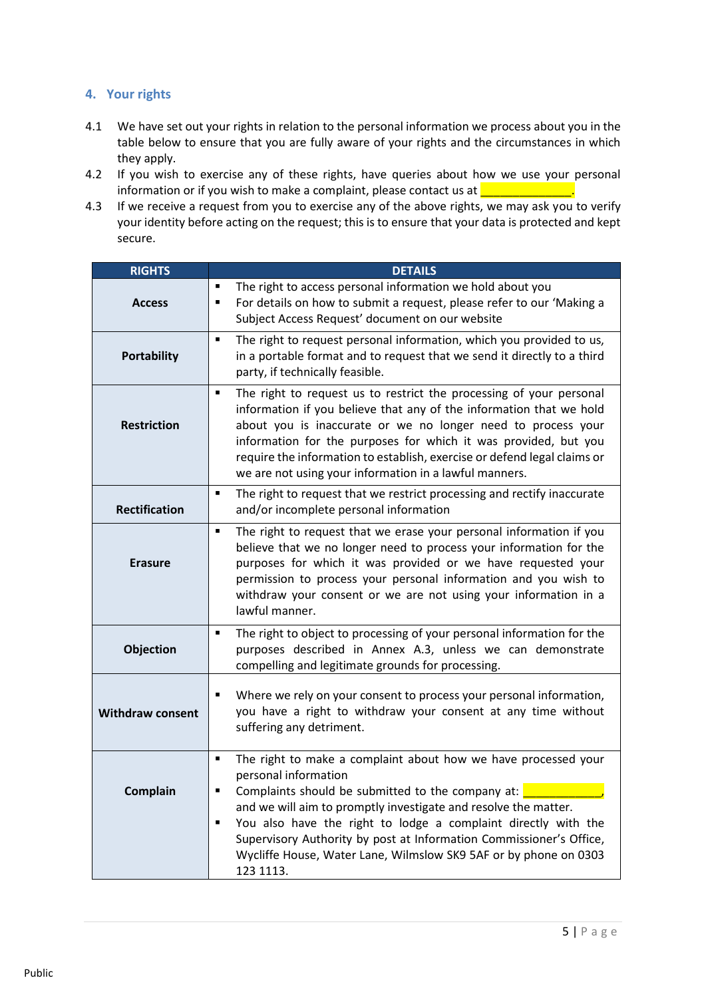# <span id="page-4-0"></span>**4. Your rights**

- 4.1 We have set out your rights in relation to the personal information we process about you in the table below to ensure that you are fully aware of your rights and the circumstances in which they apply.
- 4.2 If you wish to exercise any of these rights, have queries about how we use your personal information or if you wish to make a complaint, please contact us at  $\frac{1}{\sqrt{1-\frac{1}{\sqrt{1-\frac{1}{\sqrt{1-\frac{1}{\sqrt{1-\frac{1}{\sqrt{1-\frac{1}{\sqrt{1-\frac{1}{\sqrt{1-\frac{1}{\sqrt{1-\frac{1}{\sqrt{1-\frac{1}{\sqrt{1-\frac{1}{\sqrt{1-\frac{1}{\sqrt{1-\frac{1}{\sqrt{1-\frac{1}{\sqrt{1-\frac{1}{\sqrt{1-\frac{1}{\sqrt{1-\frac{1}{\sqrt$
- 4.3 If we receive a request from you to exercise any of the above rights, we may ask you to verify your identity before acting on the request; this is to ensure that your data is protected and kept secure.

<span id="page-4-1"></span>

| <b>RIGHTS</b>           | <b>DETAILS</b>                                                                                                                                                                                                                                                                                                                                                                                                                                                       |
|-------------------------|----------------------------------------------------------------------------------------------------------------------------------------------------------------------------------------------------------------------------------------------------------------------------------------------------------------------------------------------------------------------------------------------------------------------------------------------------------------------|
| <b>Access</b>           | The right to access personal information we hold about you<br>٠<br>For details on how to submit a request, please refer to our 'Making a<br>$\blacksquare$<br>Subject Access Request' document on our website                                                                                                                                                                                                                                                        |
| <b>Portability</b>      | The right to request personal information, which you provided to us,<br>$\blacksquare$<br>in a portable format and to request that we send it directly to a third<br>party, if technically feasible.                                                                                                                                                                                                                                                                 |
| <b>Restriction</b>      | The right to request us to restrict the processing of your personal<br>٠<br>information if you believe that any of the information that we hold<br>about you is inaccurate or we no longer need to process your<br>information for the purposes for which it was provided, but you<br>require the information to establish, exercise or defend legal claims or<br>we are not using your information in a lawful manners.                                             |
| <b>Rectification</b>    | The right to request that we restrict processing and rectify inaccurate<br>٠<br>and/or incomplete personal information                                                                                                                                                                                                                                                                                                                                               |
| <b>Erasure</b>          | The right to request that we erase your personal information if you<br>$\blacksquare$<br>believe that we no longer need to process your information for the<br>purposes for which it was provided or we have requested your<br>permission to process your personal information and you wish to<br>withdraw your consent or we are not using your information in a<br>lawful manner.                                                                                  |
| Objection               | The right to object to processing of your personal information for the<br>٠<br>purposes described in Annex A.3, unless we can demonstrate<br>compelling and legitimate grounds for processing.                                                                                                                                                                                                                                                                       |
| <b>Withdraw consent</b> | Where we rely on your consent to process your personal information,<br>$\blacksquare$<br>you have a right to withdraw your consent at any time without<br>suffering any detriment.                                                                                                                                                                                                                                                                                   |
| Complain                | The right to make a complaint about how we have processed your<br>$\blacksquare$<br>personal information<br>Complaints should be submitted to the company at:<br>٠<br>and we will aim to promptly investigate and resolve the matter.<br>You also have the right to lodge a complaint directly with the<br>٠<br>Supervisory Authority by post at Information Commissioner's Office,<br>Wycliffe House, Water Lane, Wilmslow SK9 5AF or by phone on 0303<br>123 1113. |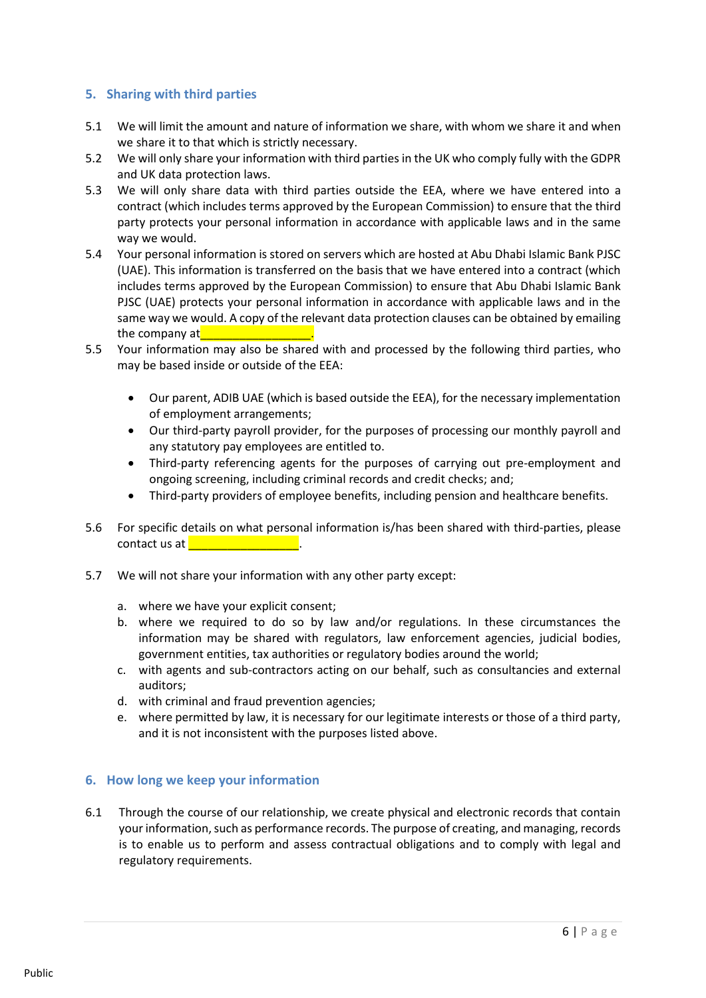# **5. Sharing with third parties**

- 5.1 We will limit the amount and nature of information we share, with whom we share it and when we share it to that which is strictly necessary.
- 5.2 We will only share your information with third parties in the UK who comply fully with the GDPR and UK data protection laws.
- 5.3 We will only share data with third parties outside the EEA, where we have entered into a contract (which includes terms approved by the European Commission) to ensure that the third party protects your personal information in accordance with applicable laws and in the same way we would.
- 5.4 Your personal information is stored on servers which are hosted at Abu Dhabi Islamic Bank PJSC (UAE). This information is transferred on the basis that we have entered into a contract (which includes terms approved by the European Commission) to ensure that Abu Dhabi Islamic Bank PJSC (UAE) protects your personal information in accordance with applicable laws and in the same way we would. A copy of the relevant data protection clauses can be obtained by emailing [the](mailto:UKDataProtection@adib.com) company at
- 5.5 Your information may also be shared with and processed by the following third parties, who may be based inside or outside of the EEA:
	- Our parent, ADIB UAE (which is based outside the EEA), for the necessary implementation of employment arrangements;
	- Our third-party payroll provider, for the purposes of processing our monthly payroll and any statutory pay employees are entitled to.
	- Third-party referencing agents for the purposes of carrying out pre-employment and ongoing screening, including criminal records and credit checks; and;
	- Third-party providers of employee benefits, including pension and healthcare benefits.
- 5.6 For specific details on what personal information is/has been shared with third-parties, please contact us at **a contact** with  $\frac{1}{2}$
- 5.7 We will not share your information with any other party except:
	- a. where we have your explicit consent;
	- b. where we required to do so by law and/or regulations. In these circumstances the information may be shared with regulators, law enforcement agencies, judicial bodies, government entities, tax authorities or regulatory bodies around the world;
	- c. with agents and sub-contractors acting on our behalf, such as consultancies and external auditors;
	- d. with criminal and fraud prevention agencies;
	- e. where permitted by law, it is necessary for our legitimate interests or those of a third party, and it is not inconsistent with the purposes listed above.

#### <span id="page-5-0"></span>**6. How long we keep your information**

6.1 Through the course of our relationship, we create physical and electronic records that contain your information, such as performance records. The purpose of creating, and managing, records is to enable us to perform and assess contractual obligations and to comply with legal and regulatory requirements.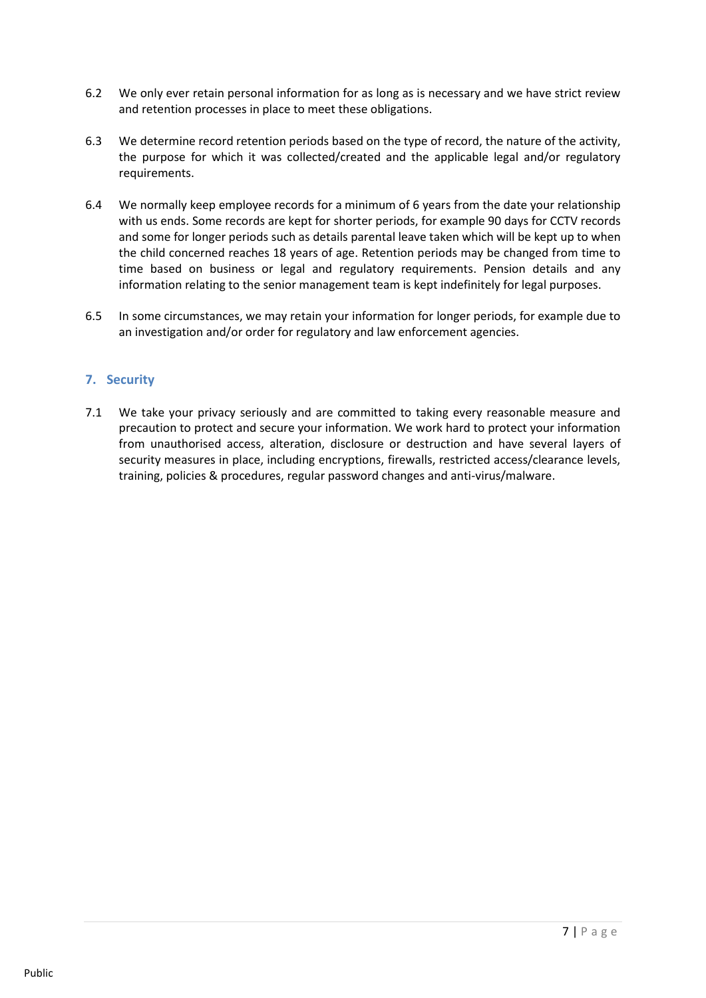- 6.2 We only ever retain personal information for as long as is necessary and we have strict review and retention processes in place to meet these obligations.
- 6.3 We determine record retention periods based on the type of record, the nature of the activity, the purpose for which it was collected/created and the applicable legal and/or regulatory requirements.
- 6.4 We normally keep employee records for a minimum of 6 years from the date your relationship with us ends. Some records are kept for shorter periods, for example 90 days for CCTV records and some for longer periods such as details parental leave taken which will be kept up to when the child concerned reaches 18 years of age. Retention periods may be changed from time to time based on business or legal and regulatory requirements. Pension details and any information relating to the senior management team is kept indefinitely for legal purposes.
- 6.5 In some circumstances, we may retain your information for longer periods, for example due to an investigation and/or order for regulatory and law enforcement agencies.

# <span id="page-6-0"></span>**7. Security**

7.1 We take your privacy seriously and are committed to taking every reasonable measure and precaution to protect and secure your information. We work hard to protect your information from unauthorised access, alteration, disclosure or destruction and have several layers of security measures in place, including encryptions, firewalls, restricted access/clearance levels, training, policies & procedures, regular password changes and anti-virus/malware.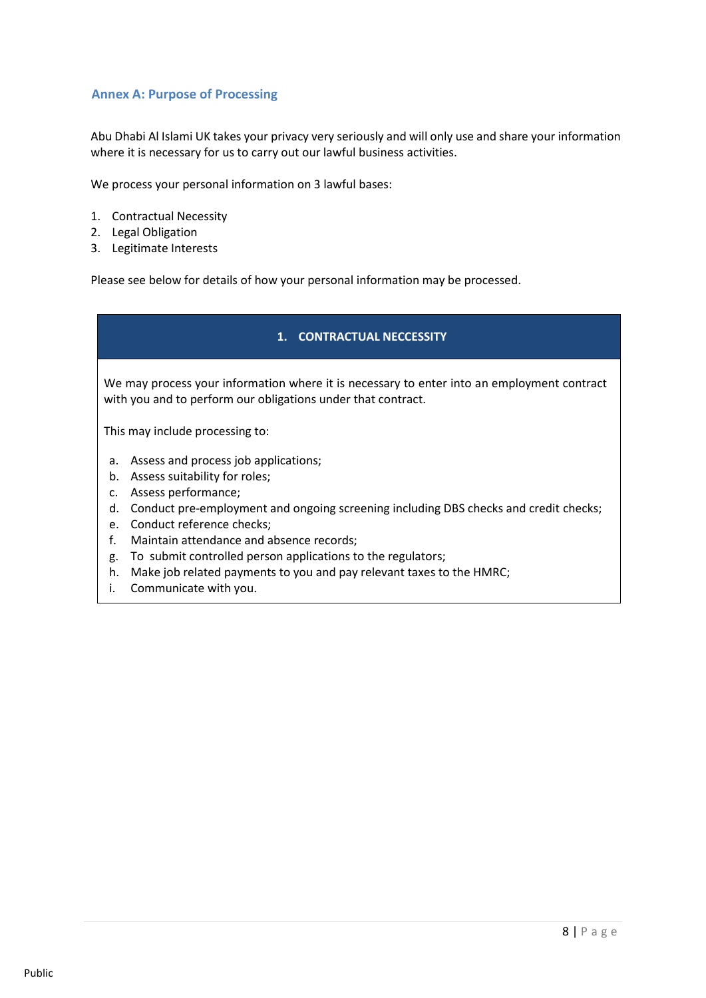# <span id="page-7-0"></span>**Annex A: Purpose of Processing**

Abu Dhabi Al Islami UK takes your privacy very seriously and will only use and share your information where it is necessary for us to carry out our lawful business activities.

We process your personal information on 3 lawful bases:

- 1. Contractual Necessity
- 2. Legal Obligation
- 3. Legitimate Interests

Please see below for details of how your personal information may be processed.

#### **1. CONTRACTUAL NECCESSITY**

<span id="page-7-1"></span>We may process your information where it is necessary to enter into an employment contract with you and to perform our obligations under that contract.

This may include processing to:

- a. Assess and process job applications;
- b. Assess suitability for roles;
- c. Assess performance;
- d. Conduct pre-employment and ongoing screening including DBS checks and credit checks;
- e. Conduct reference checks;
- f. Maintain attendance and absence records;
- g. To submit controlled person applications to the regulators;
- h. Make job related payments to you and pay relevant taxes to the HMRC;
- i. Communicate with you.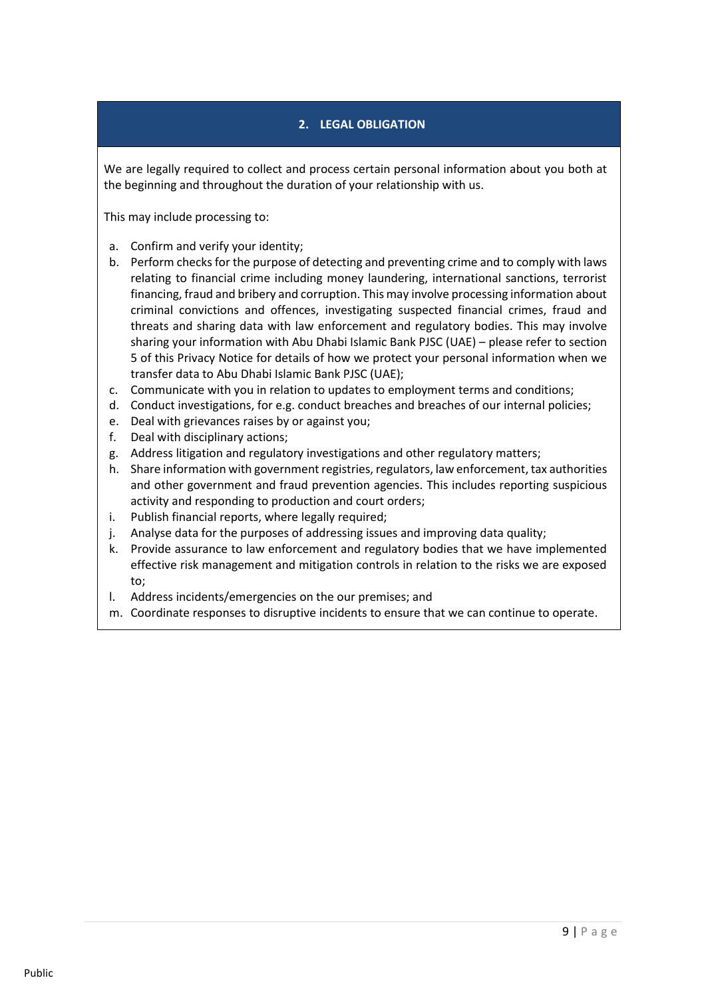# **2. LEGAL OBLIGATION**

<span id="page-8-0"></span>We are legally required to collect and process certain personal information about you both at the beginning and throughout the duration of your relationship with us.

This may include processing to:

- a. Confirm and verify your identity;
- b. Perform checks for the purpose of detecting and preventing crime and to comply with laws relating to financial crime including money laundering, international sanctions, terrorist financing, fraud and bribery and corruption. This may involve processing information about criminal convictions and offences, investigating suspected financial crimes, fraud and threats and sharing data with law enforcement and regulatory bodies. This may involve sharing your information with Abu Dhabi Islamic Bank PJSC (UAE) – please refer to section 5 of this Privacy Notice for details of how we protect your personal information when we transfer data to Abu Dhabi Islamic Bank PJSC (UAE);
- c. Communicate with you in relation to updates to employment terms and conditions;
- d. Conduct investigations, for e.g. conduct breaches and breaches of our internal policies;
- e. Deal with grievances raises by or against you;
- f. Deal with disciplinary actions;
- g. Address litigation and regulatory investigations and other regulatory matters;
- h. Share information with government registries, regulators, law enforcement, tax authorities and other government and fraud prevention agencies. This includes reporting suspicious activity and responding to production and court orders;
- i. Publish financial reports, where legally required;
- j. Analyse data for the purposes of addressing issues and improving data quality;
- k. Provide assurance to law enforcement and regulatory bodies that we have implemented effective risk management and mitigation controls in relation to the risks we are exposed to;
- l. Address incidents/emergencies on the our premises; and
- m. Coordinate responses to disruptive incidents to ensure that we can continue to operate.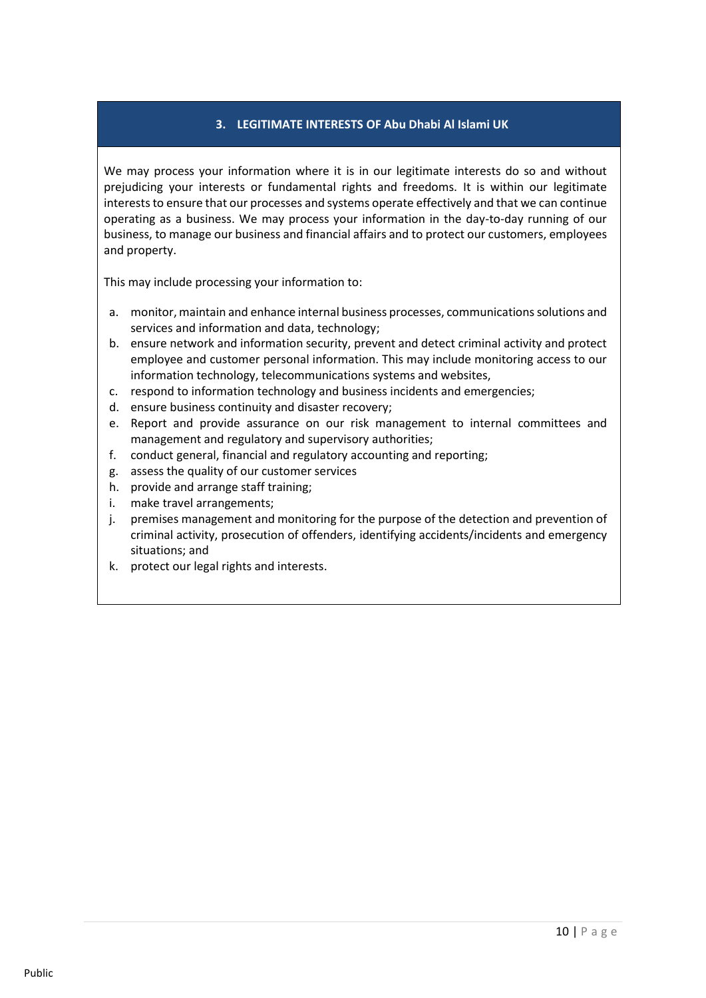### **3. LEGITIMATE INTERESTS OF Abu Dhabi Al Islami UK**

<span id="page-9-0"></span>We may process your information where it is in our legitimate interests do so and without prejudicing your interests or fundamental rights and freedoms. It is within our legitimate interests to ensure that our processes and systems operate effectively and that we can continue operating as a business. We may process your information in the day-to-day running of our business, to manage our business and financial affairs and to protect our customers, employees and property.

This may include processing your information to:

- a. monitor, maintain and enhance internal business processes, communications solutions and services and information and data, technology;
- b. ensure network and information security, prevent and detect criminal activity and protect employee and customer personal information. This may include monitoring access to our information technology, telecommunications systems and websites,
- c. respond to information technology and business incidents and emergencies;
- d. ensure business continuity and disaster recovery;
- e. Report and provide assurance on our risk management to internal committees and management and regulatory and supervisory authorities;
- f. conduct general, financial and regulatory accounting and reporting;
- g. assess the quality of our customer services
- h. provide and arrange staff training;
- i. make travel arrangements;
- j. premises management and monitoring for the purpose of the detection and prevention of criminal activity, prosecution of offenders, identifying accidents/incidents and emergency situations; and
- k. protect our legal rights and interests.